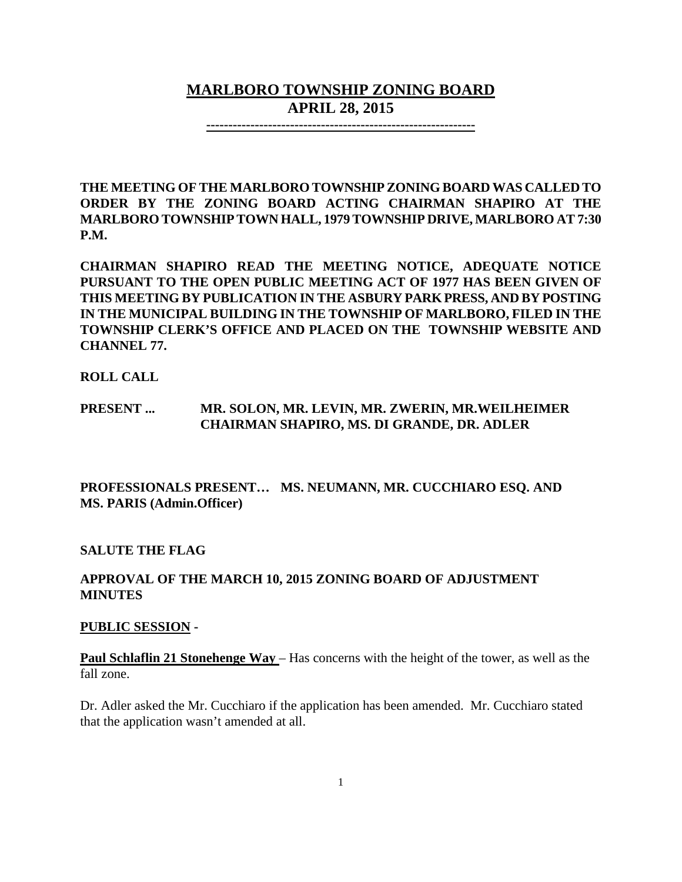# **MARLBORO TOWNSHIP ZONING BOARD APRIL 28, 2015**

**-------------------------------------------------------------**

**THE MEETING OF THE MARLBORO TOWNSHIP ZONING BOARD WAS CALLED TO ORDER BY THE ZONING BOARD ACTING CHAIRMAN SHAPIRO AT THE MARLBORO TOWNSHIPTOWN HALL, 1979 TOWNSHIP DRIVE, MARLBORO AT 7:30 P.M.**

**CHAIRMAN SHAPIRO READ THE MEETING NOTICE, ADEQUATE NOTICE PURSUANT TO THE OPEN PUBLIC MEETING ACT OF 1977 HAS BEEN GIVEN OF THIS MEETING BY PUBLICATION IN THE ASBURY PARK PRESS, AND BY POSTING IN THE MUNICIPAL BUILDING IN THE TOWNSHIP OF MARLBORO, FILED IN THE TOWNSHIP CLERK'S OFFICE AND PLACED ON THE TOWNSHIP WEBSITE AND CHANNEL 77.**

#### **ROLL CALL**

## **PRESENT ... MR. SOLON, MR. LEVIN, MR. ZWERIN, MR.WEILHEIMER CHAIRMAN SHAPIRO, MS. DI GRANDE, DR. ADLER**

## **PROFESSIONALS PRESENT… MS. NEUMANN, MR. CUCCHIARO ESQ. AND MS. PARIS (Admin.Officer)**

#### **SALUTE THE FLAG**

## **APPROVAL OF THE MARCH 10, 2015 ZONING BOARD OF ADJUSTMENT MINUTES**

#### **PUBLIC SESSION -**

**Paul Schlaflin 21 Stonehenge Way** – Has concerns with the height of the tower, as well as the fall zone.

Dr. Adler asked the Mr. Cucchiaro if the application has been amended. Mr. Cucchiaro stated that the application wasn't amended at all.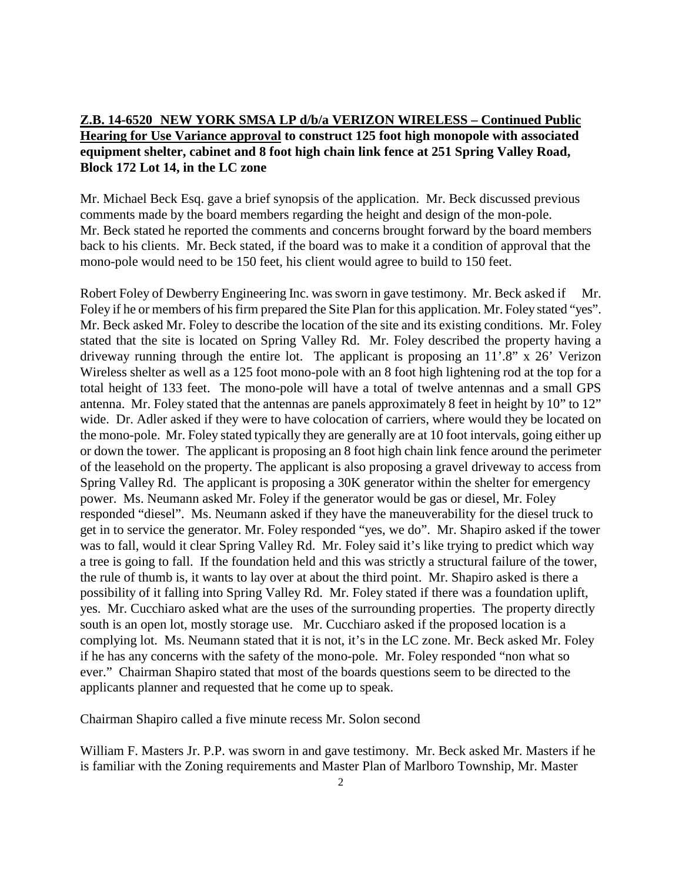## **Z.B. 14-6520 NEW YORK SMSA LP d/b/a VERIZON WIRELESS – Continued Public Hearing for Use Variance approval to construct 125 foot high monopole with associated equipment shelter, cabinet and 8 foot high chain link fence at 251 Spring Valley Road, Block 172 Lot 14, in the LC zone**

Mr. Michael Beck Esq. gave a brief synopsis of the application. Mr. Beck discussed previous comments made by the board members regarding the height and design of the mon-pole. Mr. Beck stated he reported the comments and concerns brought forward by the board members back to his clients. Mr. Beck stated, if the board was to make it a condition of approval that the mono-pole would need to be 150 feet, his client would agree to build to 150 feet.

Robert Foley of Dewberry Engineering Inc. was sworn in gave testimony. Mr. Beck asked if Mr. Foley if he or members of his firm prepared the Site Plan for this application. Mr. Foley stated "yes". Mr. Beck asked Mr. Foley to describe the location of the site and its existing conditions. Mr. Foley stated that the site is located on Spring Valley Rd. Mr. Foley described the property having a driveway running through the entire lot. The applicant is proposing an 11'.8" x 26' Verizon Wireless shelter as well as a 125 foot mono-pole with an 8 foot high lightening rod at the top for a total height of 133 feet. The mono-pole will have a total of twelve antennas and a small GPS antenna. Mr. Foley stated that the antennas are panels approximately 8 feet in height by 10" to 12" wide. Dr. Adler asked if they were to have colocation of carriers, where would they be located on the mono-pole. Mr. Foley stated typically they are generally are at 10 foot intervals, going either up or down the tower. The applicant is proposing an 8 foot high chain link fence around the perimeter of the leasehold on the property. The applicant is also proposing a gravel driveway to access from Spring Valley Rd. The applicant is proposing a 30K generator within the shelter for emergency power. Ms. Neumann asked Mr. Foley if the generator would be gas or diesel, Mr. Foley responded "diesel". Ms. Neumann asked if they have the maneuverability for the diesel truck to get in to service the generator. Mr. Foley responded "yes, we do". Mr. Shapiro asked if the tower was to fall, would it clear Spring Valley Rd. Mr. Foley said it's like trying to predict which way a tree is going to fall. If the foundation held and this was strictly a structural failure of the tower, the rule of thumb is, it wants to lay over at about the third point. Mr. Shapiro asked is there a possibility of it falling into Spring Valley Rd. Mr. Foley stated if there was a foundation uplift, yes. Mr. Cucchiaro asked what are the uses of the surrounding properties. The property directly south is an open lot, mostly storage use. Mr. Cucchiaro asked if the proposed location is a complying lot. Ms. Neumann stated that it is not, it's in the LC zone. Mr. Beck asked Mr. Foley if he has any concerns with the safety of the mono-pole. Mr. Foley responded "non what so ever." Chairman Shapiro stated that most of the boards questions seem to be directed to the applicants planner and requested that he come up to speak.

Chairman Shapiro called a five minute recess Mr. Solon second

William F. Masters Jr. P.P. was sworn in and gave testimony. Mr. Beck asked Mr. Masters if he is familiar with the Zoning requirements and Master Plan of Marlboro Township, Mr. Master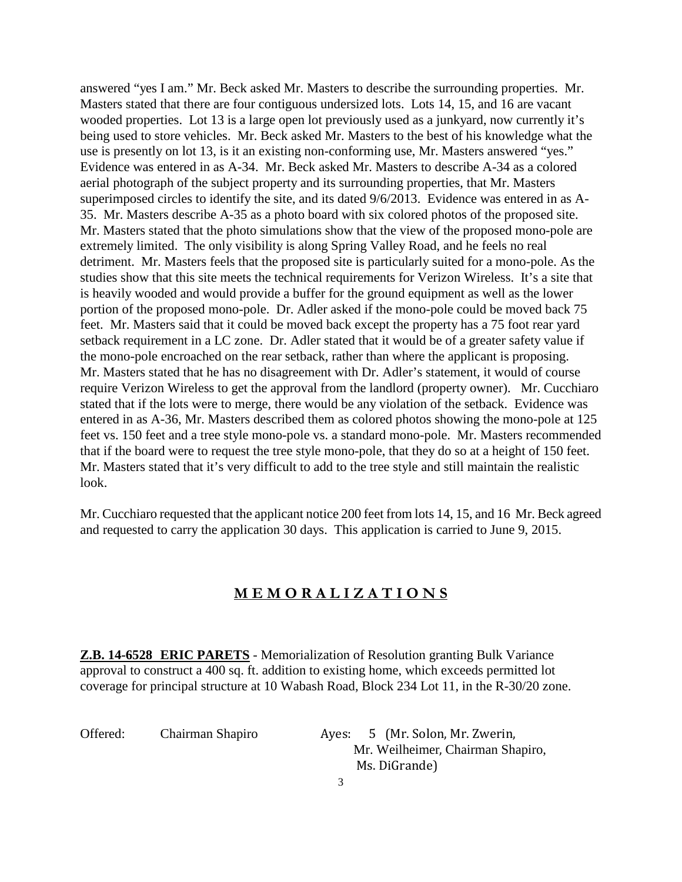answered "yes I am." Mr. Beck asked Mr. Masters to describe the surrounding properties. Mr. Masters stated that there are four contiguous undersized lots. Lots 14, 15, and 16 are vacant wooded properties. Lot 13 is a large open lot previously used as a junkyard, now currently it's being used to store vehicles. Mr. Beck asked Mr. Masters to the best of his knowledge what the use is presently on lot 13, is it an existing non-conforming use, Mr. Masters answered "yes." Evidence was entered in as A-34. Mr. Beck asked Mr. Masters to describe A-34 as a colored aerial photograph of the subject property and its surrounding properties, that Mr. Masters superimposed circles to identify the site, and its dated 9/6/2013. Evidence was entered in as A-35. Mr. Masters describe A-35 as a photo board with six colored photos of the proposed site. Mr. Masters stated that the photo simulations show that the view of the proposed mono-pole are extremely limited. The only visibility is along Spring Valley Road, and he feels no real detriment. Mr. Masters feels that the proposed site is particularly suited for a mono-pole. As the studies show that this site meets the technical requirements for Verizon Wireless. It's a site that is heavily wooded and would provide a buffer for the ground equipment as well as the lower portion of the proposed mono-pole. Dr. Adler asked if the mono-pole could be moved back 75 feet. Mr. Masters said that it could be moved back except the property has a 75 foot rear yard setback requirement in a LC zone. Dr. Adler stated that it would be of a greater safety value if the mono-pole encroached on the rear setback, rather than where the applicant is proposing. Mr. Masters stated that he has no disagreement with Dr. Adler's statement, it would of course require Verizon Wireless to get the approval from the landlord (property owner). Mr. Cucchiaro stated that if the lots were to merge, there would be any violation of the setback. Evidence was entered in as A-36, Mr. Masters described them as colored photos showing the mono-pole at 125 feet vs. 150 feet and a tree style mono-pole vs. a standard mono-pole. Mr. Masters recommended that if the board were to request the tree style mono-pole, that they do so at a height of 150 feet. Mr. Masters stated that it's very difficult to add to the tree style and still maintain the realistic look.

Mr. Cucchiaro requested that the applicant notice 200 feet from lots 14, 15, and 16 Mr. Beck agreed and requested to carry the application 30 days. This application is carried to June 9, 2015.

## **M E M O R A L I Z A T I O N S**

**Z.B. 14-6528 ERIC PARETS** - Memorialization of Resolution granting Bulk Variance approval to construct a 400 sq. ft. addition to existing home, which exceeds permitted lot coverage for principal structure at 10 Wabash Road, Block 234 Lot 11, in the R-30/20 zone.

Offered: Chairman Shapiro Ayes: 5 (Mr. Solon, Mr. Zwerin, Mr. Weilheimer, Chairman Shapiro, Ms. DiGrande)